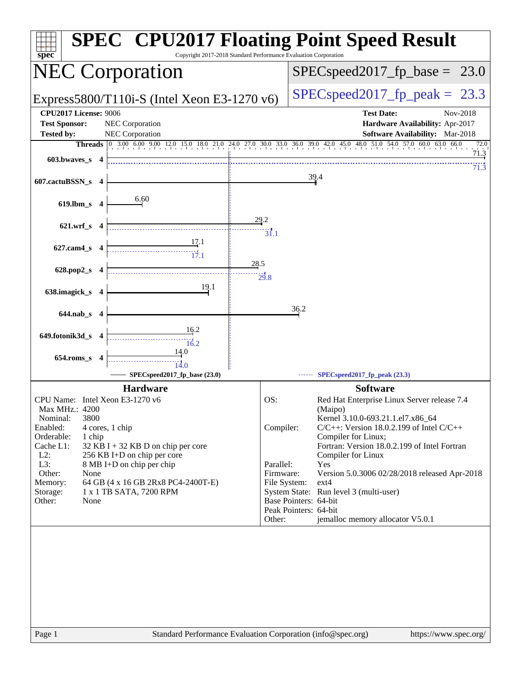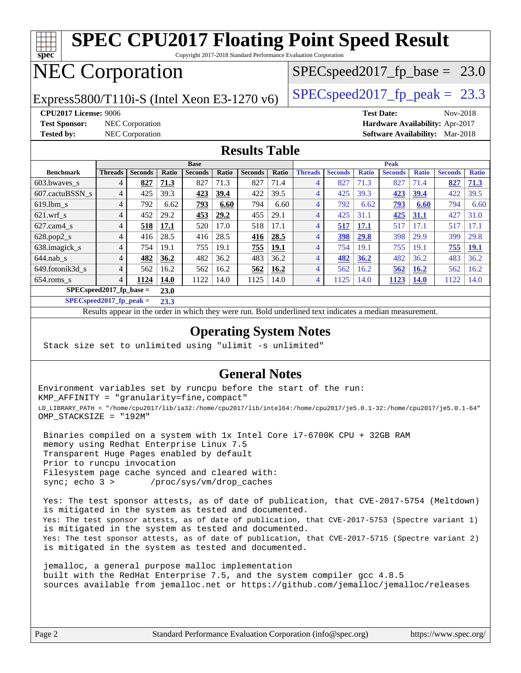

Copyright 2017-2018 Standard Performance Evaluation Corporation

## NEC Corporation

Express5800/T110i-S (Intel Xeon E3-1270 v6) [SPECspeed2017\\_fp\\_peak =](http://www.spec.org/auto/cpu2017/Docs/result-fields.html#SPECspeed2017fppeak) 23.3

 $SPECspeed2017_fp\_base = 23.0$ 

**[Test Sponsor:](http://www.spec.org/auto/cpu2017/Docs/result-fields.html#TestSponsor)** NEC Corporation **[Hardware Availability:](http://www.spec.org/auto/cpu2017/Docs/result-fields.html#HardwareAvailability)** Apr-2017

**[CPU2017 License:](http://www.spec.org/auto/cpu2017/Docs/result-fields.html#CPU2017License)** 9006 **[Test Date:](http://www.spec.org/auto/cpu2017/Docs/result-fields.html#TestDate)** Nov-2018 **[Tested by:](http://www.spec.org/auto/cpu2017/Docs/result-fields.html#Testedby)** NEC Corporation **[Software Availability:](http://www.spec.org/auto/cpu2017/Docs/result-fields.html#SoftwareAvailability)** Mar-2018

### **[Results Table](http://www.spec.org/auto/cpu2017/Docs/result-fields.html#ResultsTable)**

|                            | <b>Base</b>    |                |             |                | <b>Peak</b> |                |             |                |                |              |                |              |                |              |
|----------------------------|----------------|----------------|-------------|----------------|-------------|----------------|-------------|----------------|----------------|--------------|----------------|--------------|----------------|--------------|
| <b>Benchmark</b>           | <b>Threads</b> | <b>Seconds</b> | Ratio       | <b>Seconds</b> | Ratio       | <b>Seconds</b> | Ratio       | <b>Threads</b> | <b>Seconds</b> | <b>Ratio</b> | <b>Seconds</b> | <b>Ratio</b> | <b>Seconds</b> | <b>Ratio</b> |
| $603.bwaves$ s             | 4              | 827            | 71.3        | 827            | 71.3        | 827            | 71.4        | 4              | 827            | 71.3         | 827            | 71.4         | 827            | 71.3         |
| 607.cactuBSSN s            | 4              | 425            | 39.3        | 423            | 39.4        | 422            | 39.5        | $\overline{4}$ | 425            | 39.3         | 423            | 39.4         | 422            | 39.5         |
| $619.1$ bm s               | 4              | 792            | 6.62        | <u>793</u>     | 6.60        | 794            | 6.60        | 4              | 792            | 6.62         | <u>793</u>     | 6.60         | 794            | 6.60         |
| $621$ wrf s                | 4              | 452            | 29.2        | 453            | 29.2        | 455            | 29.1        | $\overline{4}$ | 425            | 31.1         | 425            | <b>31.1</b>  | 427            | 31.0         |
| $627$ .cam4 s              | 4              | 518            | 17.1        | 520            | 17.0        | 518            | 17.1        | 4              | 517            | 17.1         | 517            | 17.1         | 517            | 17.1         |
| $628.pop2_s$               | 4              | 416            | 28.5        | 416            | 28.5        | 416            | 28.5        | $\overline{4}$ | 398            | 29.8         | 398            | 29.9         | 399            | 29.8         |
| 638.imagick_s              | 4              | 754            | 19.1        | 755            | 19.1        | 755            | 19.1        | 4              | 754            | 19.1         | 755            | 19.1         | 755            | <u>19.1</u>  |
| $644$ .nab s               | 4              | 482            | 36.2        | 482            | 36.2        | 483            | 36.2        | 4              | 482            | 36.2         | 482            | 36.2         | 483            | 36.2         |
| 649.fotonik3d s            | 4              | 562            | 16.2        | 562            | 16.2        | 562            | <b>16.2</b> | $\overline{4}$ | 562            | 16.2         | 562            | <b>16.2</b>  | 562            | 16.2         |
| $654$ .roms s              | 4              | 1124           | <b>14.0</b> | 1122           | 14.0        | 1125           | 14.0        | 4              | 1125           | 14.0         | 1123           | <b>14.0</b>  | 1122           | 14.0         |
| $SPEC speed2017$ fp base = | 23.0           |                |             |                |             |                |             |                |                |              |                |              |                |              |

**[SPECspeed2017\\_fp\\_peak =](http://www.spec.org/auto/cpu2017/Docs/result-fields.html#SPECspeed2017fppeak) 23.3**

Results appear in the [order in which they were run.](http://www.spec.org/auto/cpu2017/Docs/result-fields.html#RunOrder) Bold underlined text [indicates a median measurement](http://www.spec.org/auto/cpu2017/Docs/result-fields.html#Median).

### **[Operating System Notes](http://www.spec.org/auto/cpu2017/Docs/result-fields.html#OperatingSystemNotes)**

Stack size set to unlimited using "ulimit -s unlimited"

### **[General Notes](http://www.spec.org/auto/cpu2017/Docs/result-fields.html#GeneralNotes)**

Environment variables set by runcpu before the start of the run: KMP\_AFFINITY = "granularity=fine,compact" LD\_LIBRARY\_PATH = "/home/cpu2017/lib/ia32:/home/cpu2017/lib/intel64:/home/cpu2017/je5.0.1-32:/home/cpu2017/je5.0.1-64" OMP\_STACKSIZE = "192M"

 Binaries compiled on a system with 1x Intel Core i7-6700K CPU + 32GB RAM memory using Redhat Enterprise Linux 7.5 Transparent Huge Pages enabled by default Prior to runcpu invocation Filesystem page cache synced and cleared with: sync; echo 3 > /proc/sys/vm/drop\_caches

 Yes: The test sponsor attests, as of date of publication, that CVE-2017-5754 (Meltdown) is mitigated in the system as tested and documented. Yes: The test sponsor attests, as of date of publication, that CVE-2017-5753 (Spectre variant 1) is mitigated in the system as tested and documented. Yes: The test sponsor attests, as of date of publication, that CVE-2017-5715 (Spectre variant 2) is mitigated in the system as tested and documented.

 jemalloc, a general purpose malloc implementation built with the RedHat Enterprise 7.5, and the system compiler gcc 4.8.5 sources available from jemalloc.net or <https://github.com/jemalloc/jemalloc/releases>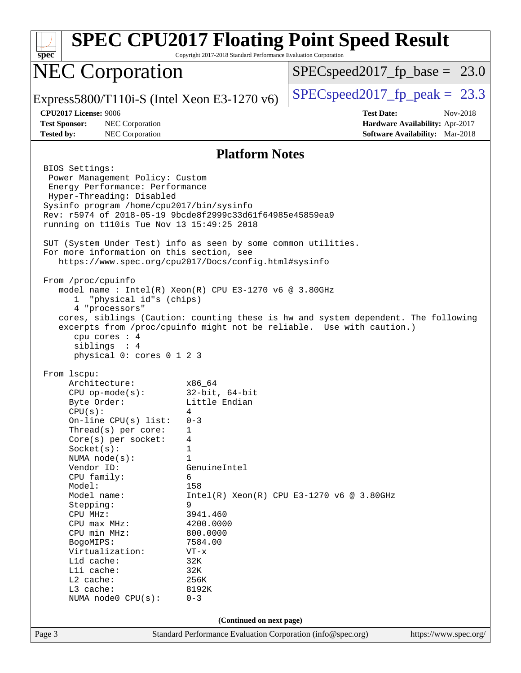| spec                                                                                                                                                                                                                                                                                                                                                                                                                                                                    | Copyright 2017-2018 Standard Performance Evaluation Corporation                                                                                                                                                            | <b>SPEC CPU2017 Floating Point Speed Result</b>                                                                                                             |
|-------------------------------------------------------------------------------------------------------------------------------------------------------------------------------------------------------------------------------------------------------------------------------------------------------------------------------------------------------------------------------------------------------------------------------------------------------------------------|----------------------------------------------------------------------------------------------------------------------------------------------------------------------------------------------------------------------------|-------------------------------------------------------------------------------------------------------------------------------------------------------------|
| <b>NEC Corporation</b>                                                                                                                                                                                                                                                                                                                                                                                                                                                  |                                                                                                                                                                                                                            | $SPEC speed2017_f p\_base = 23.0$                                                                                                                           |
| Express5800/T110i-S (Intel Xeon E3-1270 $v6$ )                                                                                                                                                                                                                                                                                                                                                                                                                          |                                                                                                                                                                                                                            | $SPEC speed2017fp peak = 23.3$                                                                                                                              |
| <b>CPU2017 License: 9006</b><br><b>Test Sponsor:</b><br><b>NEC Corporation</b><br>NEC Corporation<br><b>Tested by:</b>                                                                                                                                                                                                                                                                                                                                                  |                                                                                                                                                                                                                            | <b>Test Date:</b><br>Nov-2018<br>Hardware Availability: Apr-2017<br>Software Availability: Mar-2018                                                         |
|                                                                                                                                                                                                                                                                                                                                                                                                                                                                         | <b>Platform Notes</b>                                                                                                                                                                                                      |                                                                                                                                                             |
| BIOS Settings:<br>Power Management Policy: Custom<br>Energy Performance: Performance<br>Hyper-Threading: Disabled<br>Sysinfo program /home/cpu2017/bin/sysinfo<br>Rev: r5974 of 2018-05-19 9bcde8f2999c33d61f64985e45859ea9<br>running on t110is Tue Nov 13 15:49:25 2018<br>SUT (System Under Test) info as seen by some common utilities.<br>For more information on this section, see<br>https://www.spec.org/cpu2017/Docs/config.html#sysinfo<br>From /proc/cpuinfo |                                                                                                                                                                                                                            |                                                                                                                                                             |
| model name: $Intel(R)$ Xeon $(R)$ CPU E3-1270 v6 @ 3.80GHz<br>"physical id"s (chips)<br>ı.<br>4 "processors"<br>cpu cores : 4<br>siblings : 4<br>physical 0: cores 0 1 2 3                                                                                                                                                                                                                                                                                              |                                                                                                                                                                                                                            | cores, siblings (Caution: counting these is hw and system dependent. The following<br>excerpts from /proc/cpuinfo might not be reliable. Use with caution.) |
| From 1scpu:<br>Architecture:<br>$CPU$ op-mode( $s$ ):<br>Byte Order:<br>CPU(s):<br>On-line $CPU(s)$ list:<br>Thread( $s$ ) per core:<br>Core(s) per socket:<br>Socket(s):<br>NUMA $node(s)$ :<br>Vendor ID:<br>CPU family:<br>Model:<br>Model name:<br>Stepping:<br>CPU MHz:<br>CPU max MHz:<br>CPU min MHz:<br>BogoMIPS:<br>Virtualization:<br>L1d cache:<br>Lli cache:<br>L2 cache:<br>L3 cache:<br>NUMA node0 CPU(s):                                                | x86 64<br>$32$ -bit, $64$ -bit<br>Little Endian<br>4<br>$0 - 3$<br>1<br>4<br>1<br>1<br>GenuineIntel<br>6<br>158<br>9<br>3941.460<br>4200.0000<br>800.0000<br>7584.00<br>$VT - x$<br>32K<br>32K<br>256K<br>8192K<br>$0 - 3$ | $Intel(R) Xeon(R) CPU E3-1270 v6 @ 3.80GHz$                                                                                                                 |
|                                                                                                                                                                                                                                                                                                                                                                                                                                                                         | (Continued on next page)                                                                                                                                                                                                   |                                                                                                                                                             |
| Page 3                                                                                                                                                                                                                                                                                                                                                                                                                                                                  | Standard Performance Evaluation Corporation (info@spec.org)                                                                                                                                                                | https://www.spec.org/                                                                                                                                       |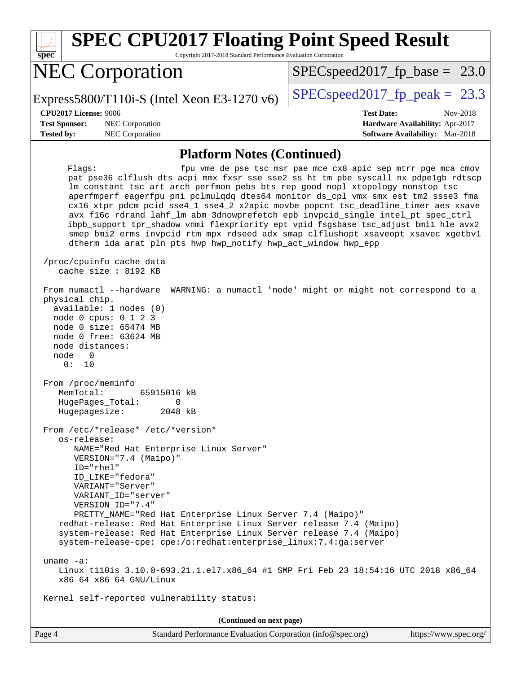| spec <sup>®</sup>                                                                                                                                                                                                              | <b>SPEC CPU2017 Floating Point Speed Result</b><br>Copyright 2017-2018 Standard Performance Evaluation Corporation                                                                                                                                                                                                                                                                                                                                                                                                                                                                                                                                                                                                                                                                                                |
|--------------------------------------------------------------------------------------------------------------------------------------------------------------------------------------------------------------------------------|-------------------------------------------------------------------------------------------------------------------------------------------------------------------------------------------------------------------------------------------------------------------------------------------------------------------------------------------------------------------------------------------------------------------------------------------------------------------------------------------------------------------------------------------------------------------------------------------------------------------------------------------------------------------------------------------------------------------------------------------------------------------------------------------------------------------|
| <b>NEC Corporation</b>                                                                                                                                                                                                         | $SPEC speed2017_f p\_base = 23.0$                                                                                                                                                                                                                                                                                                                                                                                                                                                                                                                                                                                                                                                                                                                                                                                 |
| Express5800/T110i-S (Intel Xeon E3-1270 v6)                                                                                                                                                                                    | $SPEC speed2017_fp\_peak = 23.3$                                                                                                                                                                                                                                                                                                                                                                                                                                                                                                                                                                                                                                                                                                                                                                                  |
| <b>CPU2017 License: 9006</b><br><b>Test Sponsor:</b><br>NEC Corporation<br><b>Tested by:</b><br>NEC Corporation                                                                                                                | <b>Test Date:</b><br>Nov-2018<br>Hardware Availability: Apr-2017<br><b>Software Availability:</b> Mar-2018                                                                                                                                                                                                                                                                                                                                                                                                                                                                                                                                                                                                                                                                                                        |
|                                                                                                                                                                                                                                | <b>Platform Notes (Continued)</b>                                                                                                                                                                                                                                                                                                                                                                                                                                                                                                                                                                                                                                                                                                                                                                                 |
| Flagg:<br>/proc/cpuinfo cache data<br>cache size : 8192 KB<br>From numactl --hardware<br>physical chip.<br>available: 1 nodes (0)<br>node 0 cpus: 0 1 2 3<br>node 0 size: 65474 MB<br>node 0 free: 63624 MB<br>node distances: | fpu vme de pse tsc msr pae mce cx8 apic sep mtrr pge mca cmov<br>pat pse36 clflush dts acpi mmx fxsr sse sse2 ss ht tm pbe syscall nx pdpelgb rdtscp<br>lm constant_tsc art arch_perfmon pebs bts rep_good nopl xtopology nonstop_tsc<br>aperfmperf eagerfpu pni pclmulqdq dtes64 monitor ds_cpl vmx smx est tm2 ssse3 fma<br>cx16 xtpr pdcm pcid sse4_1 sse4_2 x2apic movbe popcnt tsc_deadline_timer aes xsave<br>avx f16c rdrand lahf_lm abm 3dnowprefetch epb invpcid_single intel_pt spec_ctrl<br>ibpb_support tpr_shadow vnmi flexpriority ept vpid fsgsbase tsc_adjust bmil hle avx2<br>smep bmi2 erms invpcid rtm mpx rdseed adx smap clflushopt xsaveopt xsavec xgetbvl<br>dtherm ida arat pln pts hwp hwp_notify hwp_act_window hwp_epp<br>WARNING: a numactl 'node' might or might not correspond to a |
| node<br>0<br>0:<br>10<br>From /proc/meminfo<br>MemTotal:<br>65915016 kB<br>HugePages_Total:<br>$\Omega$<br>2048 kB<br>Hugepagesize:                                                                                            |                                                                                                                                                                                                                                                                                                                                                                                                                                                                                                                                                                                                                                                                                                                                                                                                                   |
| From /etc/*release* /etc/*version*<br>os-release:<br>NAME="Red Hat Enterprise Linux Server"<br>VERSION="7.4 (Maipo)"<br>ID="rhel"<br>ID LIKE="fedora"<br>VARIANT="Server"<br>VARIANT_ID="server"<br>VERSION_ID="7.4"           | PRETTY_NAME="Red Hat Enterprise Linux Server 7.4 (Maipo)"<br>redhat-release: Red Hat Enterprise Linux Server release 7.4 (Maipo)<br>system-release: Red Hat Enterprise Linux Server release 7.4 (Maipo)<br>system-release-cpe: cpe:/o:redhat:enterprise_linux:7.4:ga:server                                                                                                                                                                                                                                                                                                                                                                                                                                                                                                                                       |
| uname $-a$ :<br>x86_64 x86_64 GNU/Linux                                                                                                                                                                                        | Linux t110is 3.10.0-693.21.1.el7.x86_64 #1 SMP Fri Feb 23 18:54:16 UTC 2018 x86_64                                                                                                                                                                                                                                                                                                                                                                                                                                                                                                                                                                                                                                                                                                                                |
| Kernel self-reported vulnerability status:                                                                                                                                                                                     |                                                                                                                                                                                                                                                                                                                                                                                                                                                                                                                                                                                                                                                                                                                                                                                                                   |
|                                                                                                                                                                                                                                | (Continued on next page)                                                                                                                                                                                                                                                                                                                                                                                                                                                                                                                                                                                                                                                                                                                                                                                          |
| Page 4                                                                                                                                                                                                                         | Standard Performance Evaluation Corporation (info@spec.org)<br>https://www.spec.org/                                                                                                                                                                                                                                                                                                                                                                                                                                                                                                                                                                                                                                                                                                                              |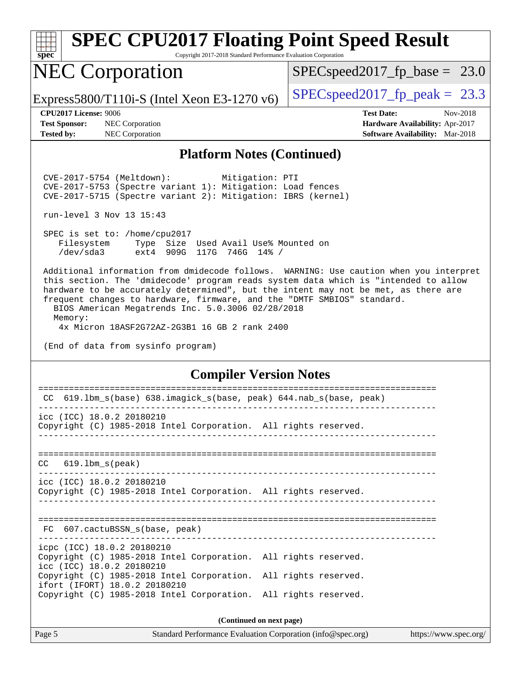| <b>SPEC CPU2017 Floating Point Speed Result</b> |  |
|-------------------------------------------------|--|

Copyright 2017-2018 Standard Performance Evaluation Corporation

### NEC Corporation

 $SPEC speed2017_fp\_base = 23.0$ 

Express5800/T110i-S (Intel Xeon E3-1270 v6) [SPECspeed2017\\_fp\\_peak =](http://www.spec.org/auto/cpu2017/Docs/result-fields.html#SPECspeed2017fppeak) 23.3

**[spec](http://www.spec.org/)**

**[Test Sponsor:](http://www.spec.org/auto/cpu2017/Docs/result-fields.html#TestSponsor)** NEC Corporation **[Hardware Availability:](http://www.spec.org/auto/cpu2017/Docs/result-fields.html#HardwareAvailability)** Apr-2017

**[CPU2017 License:](http://www.spec.org/auto/cpu2017/Docs/result-fields.html#CPU2017License)** 9006 **[Test Date:](http://www.spec.org/auto/cpu2017/Docs/result-fields.html#TestDate)** Nov-2018 **[Tested by:](http://www.spec.org/auto/cpu2017/Docs/result-fields.html#Testedby)** NEC Corporation **[Software Availability:](http://www.spec.org/auto/cpu2017/Docs/result-fields.html#SoftwareAvailability)** Mar-2018

### **[Platform Notes \(Continued\)](http://www.spec.org/auto/cpu2017/Docs/result-fields.html#PlatformNotes)**

 CVE-2017-5754 (Meltdown): Mitigation: PTI CVE-2017-5753 (Spectre variant 1): Mitigation: Load fences CVE-2017-5715 (Spectre variant 2): Mitigation: IBRS (kernel)

run-level 3 Nov 13 15:43

 SPEC is set to: /home/cpu2017 Filesystem Type Size Used Avail Use% Mounted on /dev/sda3 ext4 909G 117G 746G 14% /

 Additional information from dmidecode follows. WARNING: Use caution when you interpret this section. The 'dmidecode' program reads system data which is "intended to allow hardware to be accurately determined", but the intent may not be met, as there are frequent changes to hardware, firmware, and the "DMTF SMBIOS" standard.

 BIOS American Megatrends Inc. 5.0.3006 02/28/2018 Memory:

4x Micron 18ASF2G72AZ-2G3B1 16 GB 2 rank 2400

(End of data from sysinfo program)

### **[Compiler Version Notes](http://www.spec.org/auto/cpu2017/Docs/result-fields.html#CompilerVersionNotes)**

| 619.1bm_s(base) 638.imagick_s(base, peak) 644.nab_s(base, peak)<br>CC                            |                          |  |  |  |  |  |  |  |  |
|--------------------------------------------------------------------------------------------------|--------------------------|--|--|--|--|--|--|--|--|
| icc (ICC) 18.0.2 20180210                                                                        |                          |  |  |  |  |  |  |  |  |
| Copyright (C) 1985-2018 Intel Corporation. All rights reserved.                                  |                          |  |  |  |  |  |  |  |  |
| $CC$ 619.1bm $s$ (peak)                                                                          |                          |  |  |  |  |  |  |  |  |
|                                                                                                  |                          |  |  |  |  |  |  |  |  |
| icc (ICC) 18.0.2 20180210<br>Copyright (C) 1985-2018 Intel Corporation. All rights reserved.     |                          |  |  |  |  |  |  |  |  |
|                                                                                                  |                          |  |  |  |  |  |  |  |  |
| FC 607.cactuBSSN_s(base, peak)                                                                   |                          |  |  |  |  |  |  |  |  |
| icpc (ICC) 18.0.2 20180210                                                                       |                          |  |  |  |  |  |  |  |  |
| Copyright (C) 1985-2018 Intel Corporation. All rights reserved.<br>icc (ICC) 18.0.2 20180210     |                          |  |  |  |  |  |  |  |  |
| Copyright (C) 1985-2018 Intel Corporation. All rights reserved.<br>ifort (IFORT) 18.0.2 20180210 |                          |  |  |  |  |  |  |  |  |
| Copyright (C) 1985-2018 Intel Corporation. All rights reserved.                                  |                          |  |  |  |  |  |  |  |  |
|                                                                                                  | (Continued on next page) |  |  |  |  |  |  |  |  |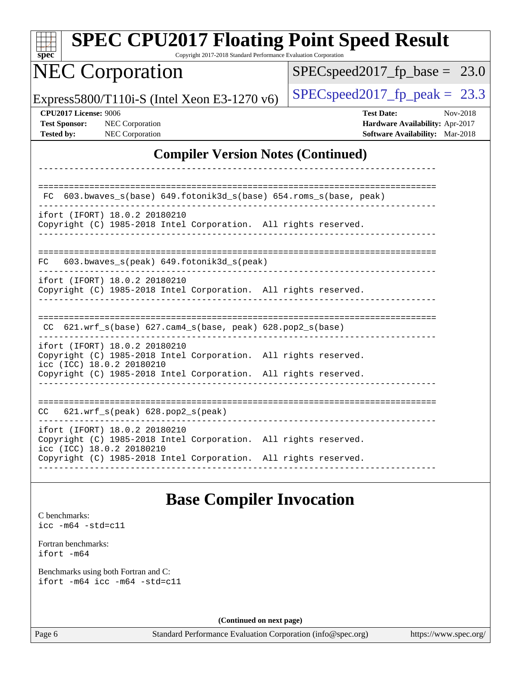| spec <sup>®</sup>                                                  | <b>SPEC CPU2017 Floating Point Speed Result</b>                                                                                                                                                  | Copyright 2017-2018 Standard Performance Evaluation Corporation |                                                             |                                                                                         |                       |          |
|--------------------------------------------------------------------|--------------------------------------------------------------------------------------------------------------------------------------------------------------------------------------------------|-----------------------------------------------------------------|-------------------------------------------------------------|-----------------------------------------------------------------------------------------|-----------------------|----------|
|                                                                    | <b>NEC Corporation</b>                                                                                                                                                                           |                                                                 | $SPEC speed2017_fp\_base = 23.0$                            |                                                                                         |                       |          |
|                                                                    | Express5800/T110i-S (Intel Xeon E3-1270 v6)                                                                                                                                                      |                                                                 | $SPEC speed2017_fp\_peak = 23.3$                            |                                                                                         |                       |          |
| CPU2017 License: 9006<br><b>Test Sponsor:</b><br><b>Tested by:</b> | NEC Corporation<br><b>NEC</b> Corporation                                                                                                                                                        |                                                                 |                                                             | <b>Test Date:</b><br>Hardware Availability: Apr-2017<br>Software Availability: Mar-2018 |                       | Nov-2018 |
|                                                                    |                                                                                                                                                                                                  |                                                                 | <b>Compiler Version Notes (Continued)</b>                   |                                                                                         |                       |          |
|                                                                    |                                                                                                                                                                                                  |                                                                 |                                                             |                                                                                         |                       |          |
| FC.                                                                | 603.bwaves_s(base) 649.fotonik3d_s(base) 654.roms_s(base, peak)<br>ifort (IFORT) 18.0.2 20180210<br>Copyright (C) 1985-2018 Intel Corporation. All rights reserved.                              |                                                                 |                                                             |                                                                                         |                       |          |
| FC                                                                 | 603.bwaves_s(peak) 649.fotonik3d_s(peak)                                                                                                                                                         |                                                                 |                                                             |                                                                                         |                       |          |
|                                                                    | ifort (IFORT) 18.0.2 20180210<br>Copyright (C) 1985-2018 Intel Corporation. All rights reserved.                                                                                                 |                                                                 |                                                             |                                                                                         |                       |          |
|                                                                    | $CC$ 621.wrf_s(base) 627.cam4_s(base, peak) 628.pop2_s(base)                                                                                                                                     |                                                                 |                                                             |                                                                                         |                       |          |
|                                                                    | ifort (IFORT) 18.0.2 20180210<br>Copyright (C) 1985-2018 Intel Corporation. All rights reserved.<br>icc (ICC) 18.0.2 20180210<br>Copyright (C) 1985-2018 Intel Corporation. All rights reserved. |                                                                 |                                                             |                                                                                         |                       |          |
|                                                                    | CC 621.wrf_s(peak) 628.pop2_s(peak)                                                                                                                                                              |                                                                 |                                                             |                                                                                         |                       |          |
|                                                                    | ifort (IFORT) 18.0.2 20180210<br>Copyright (C) 1985-2018 Intel Corporation. All rights reserved.<br>icc (ICC) 18.0.2 20180210                                                                    |                                                                 |                                                             |                                                                                         |                       |          |
|                                                                    | Copyright (C) 1985-2018 Intel Corporation. All rights reserved.                                                                                                                                  |                                                                 |                                                             |                                                                                         |                       |          |
|                                                                    |                                                                                                                                                                                                  | <b>Base Compiler Invocation</b>                                 |                                                             |                                                                                         |                       |          |
| C benchmarks:<br>$\texttt{icc -m64 -std=cl1}$                      |                                                                                                                                                                                                  |                                                                 |                                                             |                                                                                         |                       |          |
| Fortran benchmarks:<br>ifort -m64                                  |                                                                                                                                                                                                  |                                                                 |                                                             |                                                                                         |                       |          |
|                                                                    | Benchmarks using both Fortran and C:<br>ifort -m64 icc -m64 -std=c11                                                                                                                             |                                                                 |                                                             |                                                                                         |                       |          |
|                                                                    |                                                                                                                                                                                                  | (Continued on next page)                                        |                                                             |                                                                                         |                       |          |
| Page 6                                                             |                                                                                                                                                                                                  |                                                                 | Standard Performance Evaluation Corporation (info@spec.org) |                                                                                         | https://www.spec.org/ |          |

<del>un ma</del>ll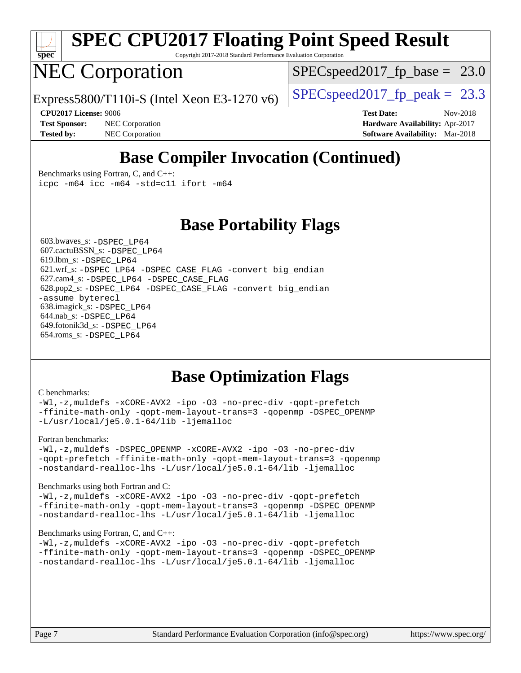

## **[SPEC CPU2017 Floating Point Speed Result](http://www.spec.org/auto/cpu2017/Docs/result-fields.html#SPECCPU2017FloatingPointSpeedResult)**

Copyright 2017-2018 Standard Performance Evaluation Corporation

### NEC Corporation

 $SPECspeed2017_fp\_base = 23.0$ 

Express5800/T110i-S (Intel Xeon E3-1270 v6) [SPECspeed2017\\_fp\\_peak =](http://www.spec.org/auto/cpu2017/Docs/result-fields.html#SPECspeed2017fppeak) 23.3

**[Test Sponsor:](http://www.spec.org/auto/cpu2017/Docs/result-fields.html#TestSponsor)** NEC Corporation **[Hardware Availability:](http://www.spec.org/auto/cpu2017/Docs/result-fields.html#HardwareAvailability)** Apr-2017 **[Tested by:](http://www.spec.org/auto/cpu2017/Docs/result-fields.html#Testedby)** NEC Corporation **[Software Availability:](http://www.spec.org/auto/cpu2017/Docs/result-fields.html#SoftwareAvailability)** Mar-2018

**[CPU2017 License:](http://www.spec.org/auto/cpu2017/Docs/result-fields.html#CPU2017License)** 9006 **[Test Date:](http://www.spec.org/auto/cpu2017/Docs/result-fields.html#TestDate)** Nov-2018

### **[Base Compiler Invocation \(Continued\)](http://www.spec.org/auto/cpu2017/Docs/result-fields.html#BaseCompilerInvocation)**

[Benchmarks using Fortran, C, and C++:](http://www.spec.org/auto/cpu2017/Docs/result-fields.html#BenchmarksusingFortranCandCXX) [icpc -m64](http://www.spec.org/cpu2017/results/res2018q4/cpu2017-20181126-09865.flags.html#user_CC_CXX_FCbase_intel_icpc_64bit_4ecb2543ae3f1412ef961e0650ca070fec7b7afdcd6ed48761b84423119d1bf6bdf5cad15b44d48e7256388bc77273b966e5eb805aefd121eb22e9299b2ec9d9) [icc -m64 -std=c11](http://www.spec.org/cpu2017/results/res2018q4/cpu2017-20181126-09865.flags.html#user_CC_CXX_FCbase_intel_icc_64bit_c11_33ee0cdaae7deeeab2a9725423ba97205ce30f63b9926c2519791662299b76a0318f32ddfffdc46587804de3178b4f9328c46fa7c2b0cd779d7a61945c91cd35) [ifort -m64](http://www.spec.org/cpu2017/results/res2018q4/cpu2017-20181126-09865.flags.html#user_CC_CXX_FCbase_intel_ifort_64bit_24f2bb282fbaeffd6157abe4f878425411749daecae9a33200eee2bee2fe76f3b89351d69a8130dd5949958ce389cf37ff59a95e7a40d588e8d3a57e0c3fd751)

### **[Base Portability Flags](http://www.spec.org/auto/cpu2017/Docs/result-fields.html#BasePortabilityFlags)**

 603.bwaves\_s: [-DSPEC\\_LP64](http://www.spec.org/cpu2017/results/res2018q4/cpu2017-20181126-09865.flags.html#suite_basePORTABILITY603_bwaves_s_DSPEC_LP64) 607.cactuBSSN\_s: [-DSPEC\\_LP64](http://www.spec.org/cpu2017/results/res2018q4/cpu2017-20181126-09865.flags.html#suite_basePORTABILITY607_cactuBSSN_s_DSPEC_LP64) 619.lbm\_s: [-DSPEC\\_LP64](http://www.spec.org/cpu2017/results/res2018q4/cpu2017-20181126-09865.flags.html#suite_basePORTABILITY619_lbm_s_DSPEC_LP64) 621.wrf\_s: [-DSPEC\\_LP64](http://www.spec.org/cpu2017/results/res2018q4/cpu2017-20181126-09865.flags.html#suite_basePORTABILITY621_wrf_s_DSPEC_LP64) [-DSPEC\\_CASE\\_FLAG](http://www.spec.org/cpu2017/results/res2018q4/cpu2017-20181126-09865.flags.html#b621.wrf_s_baseCPORTABILITY_DSPEC_CASE_FLAG) [-convert big\\_endian](http://www.spec.org/cpu2017/results/res2018q4/cpu2017-20181126-09865.flags.html#user_baseFPORTABILITY621_wrf_s_convert_big_endian_c3194028bc08c63ac5d04de18c48ce6d347e4e562e8892b8bdbdc0214820426deb8554edfa529a3fb25a586e65a3d812c835984020483e7e73212c4d31a38223) 627.cam4\_s: [-DSPEC\\_LP64](http://www.spec.org/cpu2017/results/res2018q4/cpu2017-20181126-09865.flags.html#suite_basePORTABILITY627_cam4_s_DSPEC_LP64) [-DSPEC\\_CASE\\_FLAG](http://www.spec.org/cpu2017/results/res2018q4/cpu2017-20181126-09865.flags.html#b627.cam4_s_baseCPORTABILITY_DSPEC_CASE_FLAG) 628.pop2\_s: [-DSPEC\\_LP64](http://www.spec.org/cpu2017/results/res2018q4/cpu2017-20181126-09865.flags.html#suite_basePORTABILITY628_pop2_s_DSPEC_LP64) [-DSPEC\\_CASE\\_FLAG](http://www.spec.org/cpu2017/results/res2018q4/cpu2017-20181126-09865.flags.html#b628.pop2_s_baseCPORTABILITY_DSPEC_CASE_FLAG) [-convert big\\_endian](http://www.spec.org/cpu2017/results/res2018q4/cpu2017-20181126-09865.flags.html#user_baseFPORTABILITY628_pop2_s_convert_big_endian_c3194028bc08c63ac5d04de18c48ce6d347e4e562e8892b8bdbdc0214820426deb8554edfa529a3fb25a586e65a3d812c835984020483e7e73212c4d31a38223) [-assume byterecl](http://www.spec.org/cpu2017/results/res2018q4/cpu2017-20181126-09865.flags.html#user_baseFPORTABILITY628_pop2_s_assume_byterecl_7e47d18b9513cf18525430bbf0f2177aa9bf368bc7a059c09b2c06a34b53bd3447c950d3f8d6c70e3faf3a05c8557d66a5798b567902e8849adc142926523472) 638.imagick\_s: [-DSPEC\\_LP64](http://www.spec.org/cpu2017/results/res2018q4/cpu2017-20181126-09865.flags.html#suite_basePORTABILITY638_imagick_s_DSPEC_LP64) 644.nab\_s: [-DSPEC\\_LP64](http://www.spec.org/cpu2017/results/res2018q4/cpu2017-20181126-09865.flags.html#suite_basePORTABILITY644_nab_s_DSPEC_LP64) 649.fotonik3d\_s: [-DSPEC\\_LP64](http://www.spec.org/cpu2017/results/res2018q4/cpu2017-20181126-09865.flags.html#suite_basePORTABILITY649_fotonik3d_s_DSPEC_LP64) 654.roms\_s: [-DSPEC\\_LP64](http://www.spec.org/cpu2017/results/res2018q4/cpu2017-20181126-09865.flags.html#suite_basePORTABILITY654_roms_s_DSPEC_LP64)

### **[Base Optimization Flags](http://www.spec.org/auto/cpu2017/Docs/result-fields.html#BaseOptimizationFlags)**

#### [C benchmarks](http://www.spec.org/auto/cpu2017/Docs/result-fields.html#Cbenchmarks):

[-Wl,-z,muldefs](http://www.spec.org/cpu2017/results/res2018q4/cpu2017-20181126-09865.flags.html#user_CCbase_link_force_multiple1_b4cbdb97b34bdee9ceefcfe54f4c8ea74255f0b02a4b23e853cdb0e18eb4525ac79b5a88067c842dd0ee6996c24547a27a4b99331201badda8798ef8a743f577) [-xCORE-AVX2](http://www.spec.org/cpu2017/results/res2018q4/cpu2017-20181126-09865.flags.html#user_CCbase_f-xCORE-AVX2) [-ipo](http://www.spec.org/cpu2017/results/res2018q4/cpu2017-20181126-09865.flags.html#user_CCbase_f-ipo) [-O3](http://www.spec.org/cpu2017/results/res2018q4/cpu2017-20181126-09865.flags.html#user_CCbase_f-O3) [-no-prec-div](http://www.spec.org/cpu2017/results/res2018q4/cpu2017-20181126-09865.flags.html#user_CCbase_f-no-prec-div) [-qopt-prefetch](http://www.spec.org/cpu2017/results/res2018q4/cpu2017-20181126-09865.flags.html#user_CCbase_f-qopt-prefetch) [-ffinite-math-only](http://www.spec.org/cpu2017/results/res2018q4/cpu2017-20181126-09865.flags.html#user_CCbase_f_finite_math_only_cb91587bd2077682c4b38af759c288ed7c732db004271a9512da14a4f8007909a5f1427ecbf1a0fb78ff2a814402c6114ac565ca162485bbcae155b5e4258871) [-qopt-mem-layout-trans=3](http://www.spec.org/cpu2017/results/res2018q4/cpu2017-20181126-09865.flags.html#user_CCbase_f-qopt-mem-layout-trans_de80db37974c74b1f0e20d883f0b675c88c3b01e9d123adea9b28688d64333345fb62bc4a798493513fdb68f60282f9a726aa07f478b2f7113531aecce732043) [-qopenmp](http://www.spec.org/cpu2017/results/res2018q4/cpu2017-20181126-09865.flags.html#user_CCbase_qopenmp_16be0c44f24f464004c6784a7acb94aca937f053568ce72f94b139a11c7c168634a55f6653758ddd83bcf7b8463e8028bb0b48b77bcddc6b78d5d95bb1df2967) [-DSPEC\\_OPENMP](http://www.spec.org/cpu2017/results/res2018q4/cpu2017-20181126-09865.flags.html#suite_CCbase_DSPEC_OPENMP) [-L/usr/local/je5.0.1-64/lib](http://www.spec.org/cpu2017/results/res2018q4/cpu2017-20181126-09865.flags.html#user_CCbase_jemalloc_link_path64_4b10a636b7bce113509b17f3bd0d6226c5fb2346b9178c2d0232c14f04ab830f976640479e5c33dc2bcbbdad86ecfb6634cbbd4418746f06f368b512fced5394) [-ljemalloc](http://www.spec.org/cpu2017/results/res2018q4/cpu2017-20181126-09865.flags.html#user_CCbase_jemalloc_link_lib_d1249b907c500fa1c0672f44f562e3d0f79738ae9e3c4a9c376d49f265a04b9c99b167ecedbf6711b3085be911c67ff61f150a17b3472be731631ba4d0471706)

#### [Fortran benchmarks](http://www.spec.org/auto/cpu2017/Docs/result-fields.html#Fortranbenchmarks):

[-Wl,-z,muldefs](http://www.spec.org/cpu2017/results/res2018q4/cpu2017-20181126-09865.flags.html#user_FCbase_link_force_multiple1_b4cbdb97b34bdee9ceefcfe54f4c8ea74255f0b02a4b23e853cdb0e18eb4525ac79b5a88067c842dd0ee6996c24547a27a4b99331201badda8798ef8a743f577) [-DSPEC\\_OPENMP](http://www.spec.org/cpu2017/results/res2018q4/cpu2017-20181126-09865.flags.html#suite_FCbase_DSPEC_OPENMP) [-xCORE-AVX2](http://www.spec.org/cpu2017/results/res2018q4/cpu2017-20181126-09865.flags.html#user_FCbase_f-xCORE-AVX2) [-ipo](http://www.spec.org/cpu2017/results/res2018q4/cpu2017-20181126-09865.flags.html#user_FCbase_f-ipo) [-O3](http://www.spec.org/cpu2017/results/res2018q4/cpu2017-20181126-09865.flags.html#user_FCbase_f-O3) [-no-prec-div](http://www.spec.org/cpu2017/results/res2018q4/cpu2017-20181126-09865.flags.html#user_FCbase_f-no-prec-div) [-qopt-prefetch](http://www.spec.org/cpu2017/results/res2018q4/cpu2017-20181126-09865.flags.html#user_FCbase_f-qopt-prefetch) [-ffinite-math-only](http://www.spec.org/cpu2017/results/res2018q4/cpu2017-20181126-09865.flags.html#user_FCbase_f_finite_math_only_cb91587bd2077682c4b38af759c288ed7c732db004271a9512da14a4f8007909a5f1427ecbf1a0fb78ff2a814402c6114ac565ca162485bbcae155b5e4258871) [-qopt-mem-layout-trans=3](http://www.spec.org/cpu2017/results/res2018q4/cpu2017-20181126-09865.flags.html#user_FCbase_f-qopt-mem-layout-trans_de80db37974c74b1f0e20d883f0b675c88c3b01e9d123adea9b28688d64333345fb62bc4a798493513fdb68f60282f9a726aa07f478b2f7113531aecce732043) [-qopenmp](http://www.spec.org/cpu2017/results/res2018q4/cpu2017-20181126-09865.flags.html#user_FCbase_qopenmp_16be0c44f24f464004c6784a7acb94aca937f053568ce72f94b139a11c7c168634a55f6653758ddd83bcf7b8463e8028bb0b48b77bcddc6b78d5d95bb1df2967) [-nostandard-realloc-lhs](http://www.spec.org/cpu2017/results/res2018q4/cpu2017-20181126-09865.flags.html#user_FCbase_f_2003_std_realloc_82b4557e90729c0f113870c07e44d33d6f5a304b4f63d4c15d2d0f1fab99f5daaed73bdb9275d9ae411527f28b936061aa8b9c8f2d63842963b95c9dd6426b8a) [-L/usr/local/je5.0.1-64/lib](http://www.spec.org/cpu2017/results/res2018q4/cpu2017-20181126-09865.flags.html#user_FCbase_jemalloc_link_path64_4b10a636b7bce113509b17f3bd0d6226c5fb2346b9178c2d0232c14f04ab830f976640479e5c33dc2bcbbdad86ecfb6634cbbd4418746f06f368b512fced5394) [-ljemalloc](http://www.spec.org/cpu2017/results/res2018q4/cpu2017-20181126-09865.flags.html#user_FCbase_jemalloc_link_lib_d1249b907c500fa1c0672f44f562e3d0f79738ae9e3c4a9c376d49f265a04b9c99b167ecedbf6711b3085be911c67ff61f150a17b3472be731631ba4d0471706)

#### [Benchmarks using both Fortran and C](http://www.spec.org/auto/cpu2017/Docs/result-fields.html#BenchmarksusingbothFortranandC):

[-Wl,-z,muldefs](http://www.spec.org/cpu2017/results/res2018q4/cpu2017-20181126-09865.flags.html#user_CC_FCbase_link_force_multiple1_b4cbdb97b34bdee9ceefcfe54f4c8ea74255f0b02a4b23e853cdb0e18eb4525ac79b5a88067c842dd0ee6996c24547a27a4b99331201badda8798ef8a743f577) [-xCORE-AVX2](http://www.spec.org/cpu2017/results/res2018q4/cpu2017-20181126-09865.flags.html#user_CC_FCbase_f-xCORE-AVX2) [-ipo](http://www.spec.org/cpu2017/results/res2018q4/cpu2017-20181126-09865.flags.html#user_CC_FCbase_f-ipo) [-O3](http://www.spec.org/cpu2017/results/res2018q4/cpu2017-20181126-09865.flags.html#user_CC_FCbase_f-O3) [-no-prec-div](http://www.spec.org/cpu2017/results/res2018q4/cpu2017-20181126-09865.flags.html#user_CC_FCbase_f-no-prec-div) [-qopt-prefetch](http://www.spec.org/cpu2017/results/res2018q4/cpu2017-20181126-09865.flags.html#user_CC_FCbase_f-qopt-prefetch) [-ffinite-math-only](http://www.spec.org/cpu2017/results/res2018q4/cpu2017-20181126-09865.flags.html#user_CC_FCbase_f_finite_math_only_cb91587bd2077682c4b38af759c288ed7c732db004271a9512da14a4f8007909a5f1427ecbf1a0fb78ff2a814402c6114ac565ca162485bbcae155b5e4258871) [-qopt-mem-layout-trans=3](http://www.spec.org/cpu2017/results/res2018q4/cpu2017-20181126-09865.flags.html#user_CC_FCbase_f-qopt-mem-layout-trans_de80db37974c74b1f0e20d883f0b675c88c3b01e9d123adea9b28688d64333345fb62bc4a798493513fdb68f60282f9a726aa07f478b2f7113531aecce732043) [-qopenmp](http://www.spec.org/cpu2017/results/res2018q4/cpu2017-20181126-09865.flags.html#user_CC_FCbase_qopenmp_16be0c44f24f464004c6784a7acb94aca937f053568ce72f94b139a11c7c168634a55f6653758ddd83bcf7b8463e8028bb0b48b77bcddc6b78d5d95bb1df2967) [-DSPEC\\_OPENMP](http://www.spec.org/cpu2017/results/res2018q4/cpu2017-20181126-09865.flags.html#suite_CC_FCbase_DSPEC_OPENMP) [-nostandard-realloc-lhs](http://www.spec.org/cpu2017/results/res2018q4/cpu2017-20181126-09865.flags.html#user_CC_FCbase_f_2003_std_realloc_82b4557e90729c0f113870c07e44d33d6f5a304b4f63d4c15d2d0f1fab99f5daaed73bdb9275d9ae411527f28b936061aa8b9c8f2d63842963b95c9dd6426b8a) [-L/usr/local/je5.0.1-64/lib](http://www.spec.org/cpu2017/results/res2018q4/cpu2017-20181126-09865.flags.html#user_CC_FCbase_jemalloc_link_path64_4b10a636b7bce113509b17f3bd0d6226c5fb2346b9178c2d0232c14f04ab830f976640479e5c33dc2bcbbdad86ecfb6634cbbd4418746f06f368b512fced5394) [-ljemalloc](http://www.spec.org/cpu2017/results/res2018q4/cpu2017-20181126-09865.flags.html#user_CC_FCbase_jemalloc_link_lib_d1249b907c500fa1c0672f44f562e3d0f79738ae9e3c4a9c376d49f265a04b9c99b167ecedbf6711b3085be911c67ff61f150a17b3472be731631ba4d0471706)

#### [Benchmarks using Fortran, C, and C++:](http://www.spec.org/auto/cpu2017/Docs/result-fields.html#BenchmarksusingFortranCandCXX)

[-Wl,-z,muldefs](http://www.spec.org/cpu2017/results/res2018q4/cpu2017-20181126-09865.flags.html#user_CC_CXX_FCbase_link_force_multiple1_b4cbdb97b34bdee9ceefcfe54f4c8ea74255f0b02a4b23e853cdb0e18eb4525ac79b5a88067c842dd0ee6996c24547a27a4b99331201badda8798ef8a743f577) [-xCORE-AVX2](http://www.spec.org/cpu2017/results/res2018q4/cpu2017-20181126-09865.flags.html#user_CC_CXX_FCbase_f-xCORE-AVX2) [-ipo](http://www.spec.org/cpu2017/results/res2018q4/cpu2017-20181126-09865.flags.html#user_CC_CXX_FCbase_f-ipo) [-O3](http://www.spec.org/cpu2017/results/res2018q4/cpu2017-20181126-09865.flags.html#user_CC_CXX_FCbase_f-O3) [-no-prec-div](http://www.spec.org/cpu2017/results/res2018q4/cpu2017-20181126-09865.flags.html#user_CC_CXX_FCbase_f-no-prec-div) [-qopt-prefetch](http://www.spec.org/cpu2017/results/res2018q4/cpu2017-20181126-09865.flags.html#user_CC_CXX_FCbase_f-qopt-prefetch) [-ffinite-math-only](http://www.spec.org/cpu2017/results/res2018q4/cpu2017-20181126-09865.flags.html#user_CC_CXX_FCbase_f_finite_math_only_cb91587bd2077682c4b38af759c288ed7c732db004271a9512da14a4f8007909a5f1427ecbf1a0fb78ff2a814402c6114ac565ca162485bbcae155b5e4258871) [-qopt-mem-layout-trans=3](http://www.spec.org/cpu2017/results/res2018q4/cpu2017-20181126-09865.flags.html#user_CC_CXX_FCbase_f-qopt-mem-layout-trans_de80db37974c74b1f0e20d883f0b675c88c3b01e9d123adea9b28688d64333345fb62bc4a798493513fdb68f60282f9a726aa07f478b2f7113531aecce732043) [-qopenmp](http://www.spec.org/cpu2017/results/res2018q4/cpu2017-20181126-09865.flags.html#user_CC_CXX_FCbase_qopenmp_16be0c44f24f464004c6784a7acb94aca937f053568ce72f94b139a11c7c168634a55f6653758ddd83bcf7b8463e8028bb0b48b77bcddc6b78d5d95bb1df2967) [-DSPEC\\_OPENMP](http://www.spec.org/cpu2017/results/res2018q4/cpu2017-20181126-09865.flags.html#suite_CC_CXX_FCbase_DSPEC_OPENMP) [-nostandard-realloc-lhs](http://www.spec.org/cpu2017/results/res2018q4/cpu2017-20181126-09865.flags.html#user_CC_CXX_FCbase_f_2003_std_realloc_82b4557e90729c0f113870c07e44d33d6f5a304b4f63d4c15d2d0f1fab99f5daaed73bdb9275d9ae411527f28b936061aa8b9c8f2d63842963b95c9dd6426b8a) [-L/usr/local/je5.0.1-64/lib](http://www.spec.org/cpu2017/results/res2018q4/cpu2017-20181126-09865.flags.html#user_CC_CXX_FCbase_jemalloc_link_path64_4b10a636b7bce113509b17f3bd0d6226c5fb2346b9178c2d0232c14f04ab830f976640479e5c33dc2bcbbdad86ecfb6634cbbd4418746f06f368b512fced5394) [-ljemalloc](http://www.spec.org/cpu2017/results/res2018q4/cpu2017-20181126-09865.flags.html#user_CC_CXX_FCbase_jemalloc_link_lib_d1249b907c500fa1c0672f44f562e3d0f79738ae9e3c4a9c376d49f265a04b9c99b167ecedbf6711b3085be911c67ff61f150a17b3472be731631ba4d0471706)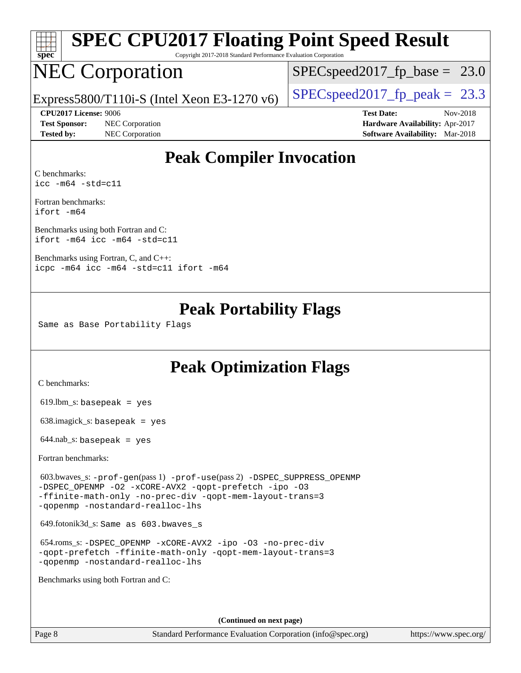| spe<br>Ľ |  |  |  |  |  |  |  |
|----------|--|--|--|--|--|--|--|

# **[SPEC CPU2017 Floating Point Speed Result](http://www.spec.org/auto/cpu2017/Docs/result-fields.html#SPECCPU2017FloatingPointSpeedResult)**

Copyright 2017-2018 Standard Performance Evaluation Corporation

## NEC Corporation

 $SPECspeed2017_fp\_base = 23.0$ 

Express5800/T110i-S (Intel Xeon E3-1270 v6)  $\left|$  [SPECspeed2017\\_fp\\_peak =](http://www.spec.org/auto/cpu2017/Docs/result-fields.html#SPECspeed2017fppeak) 23.3

**[Test Sponsor:](http://www.spec.org/auto/cpu2017/Docs/result-fields.html#TestSponsor)** NEC Corporation **[Hardware Availability:](http://www.spec.org/auto/cpu2017/Docs/result-fields.html#HardwareAvailability)** Apr-2017 **[Tested by:](http://www.spec.org/auto/cpu2017/Docs/result-fields.html#Testedby)** NEC Corporation **[Software Availability:](http://www.spec.org/auto/cpu2017/Docs/result-fields.html#SoftwareAvailability)** Mar-2018

**[CPU2017 License:](http://www.spec.org/auto/cpu2017/Docs/result-fields.html#CPU2017License)** 9006 **[Test Date:](http://www.spec.org/auto/cpu2017/Docs/result-fields.html#TestDate)** Nov-2018

### **[Peak Compiler Invocation](http://www.spec.org/auto/cpu2017/Docs/result-fields.html#PeakCompilerInvocation)**

[C benchmarks](http://www.spec.org/auto/cpu2017/Docs/result-fields.html#Cbenchmarks): [icc -m64 -std=c11](http://www.spec.org/cpu2017/results/res2018q4/cpu2017-20181126-09865.flags.html#user_CCpeak_intel_icc_64bit_c11_33ee0cdaae7deeeab2a9725423ba97205ce30f63b9926c2519791662299b76a0318f32ddfffdc46587804de3178b4f9328c46fa7c2b0cd779d7a61945c91cd35)

[Fortran benchmarks](http://www.spec.org/auto/cpu2017/Docs/result-fields.html#Fortranbenchmarks): [ifort -m64](http://www.spec.org/cpu2017/results/res2018q4/cpu2017-20181126-09865.flags.html#user_FCpeak_intel_ifort_64bit_24f2bb282fbaeffd6157abe4f878425411749daecae9a33200eee2bee2fe76f3b89351d69a8130dd5949958ce389cf37ff59a95e7a40d588e8d3a57e0c3fd751)

[Benchmarks using both Fortran and C](http://www.spec.org/auto/cpu2017/Docs/result-fields.html#BenchmarksusingbothFortranandC): [ifort -m64](http://www.spec.org/cpu2017/results/res2018q4/cpu2017-20181126-09865.flags.html#user_CC_FCpeak_intel_ifort_64bit_24f2bb282fbaeffd6157abe4f878425411749daecae9a33200eee2bee2fe76f3b89351d69a8130dd5949958ce389cf37ff59a95e7a40d588e8d3a57e0c3fd751) [icc -m64 -std=c11](http://www.spec.org/cpu2017/results/res2018q4/cpu2017-20181126-09865.flags.html#user_CC_FCpeak_intel_icc_64bit_c11_33ee0cdaae7deeeab2a9725423ba97205ce30f63b9926c2519791662299b76a0318f32ddfffdc46587804de3178b4f9328c46fa7c2b0cd779d7a61945c91cd35)

[Benchmarks using Fortran, C, and C++:](http://www.spec.org/auto/cpu2017/Docs/result-fields.html#BenchmarksusingFortranCandCXX) [icpc -m64](http://www.spec.org/cpu2017/results/res2018q4/cpu2017-20181126-09865.flags.html#user_CC_CXX_FCpeak_intel_icpc_64bit_4ecb2543ae3f1412ef961e0650ca070fec7b7afdcd6ed48761b84423119d1bf6bdf5cad15b44d48e7256388bc77273b966e5eb805aefd121eb22e9299b2ec9d9) [icc -m64 -std=c11](http://www.spec.org/cpu2017/results/res2018q4/cpu2017-20181126-09865.flags.html#user_CC_CXX_FCpeak_intel_icc_64bit_c11_33ee0cdaae7deeeab2a9725423ba97205ce30f63b9926c2519791662299b76a0318f32ddfffdc46587804de3178b4f9328c46fa7c2b0cd779d7a61945c91cd35) [ifort -m64](http://www.spec.org/cpu2017/results/res2018q4/cpu2017-20181126-09865.flags.html#user_CC_CXX_FCpeak_intel_ifort_64bit_24f2bb282fbaeffd6157abe4f878425411749daecae9a33200eee2bee2fe76f3b89351d69a8130dd5949958ce389cf37ff59a95e7a40d588e8d3a57e0c3fd751)

### **[Peak Portability Flags](http://www.spec.org/auto/cpu2017/Docs/result-fields.html#PeakPortabilityFlags)**

Same as Base Portability Flags

### **[Peak Optimization Flags](http://www.spec.org/auto/cpu2017/Docs/result-fields.html#PeakOptimizationFlags)**

[C benchmarks](http://www.spec.org/auto/cpu2017/Docs/result-fields.html#Cbenchmarks):

619.lbm\_s: basepeak = yes

638.imagick\_s: basepeak = yes

 $644$ .nab\_s: basepeak = yes

[Fortran benchmarks](http://www.spec.org/auto/cpu2017/Docs/result-fields.html#Fortranbenchmarks):

 603.bwaves\_s: [-prof-gen](http://www.spec.org/cpu2017/results/res2018q4/cpu2017-20181126-09865.flags.html#user_peakPASS1_FFLAGSPASS1_LDFLAGS603_bwaves_s_prof_gen_5aa4926d6013ddb2a31985c654b3eb18169fc0c6952a63635c234f711e6e63dd76e94ad52365559451ec499a2cdb89e4dc58ba4c67ef54ca681ffbe1461d6b36)(pass 1) [-prof-use](http://www.spec.org/cpu2017/results/res2018q4/cpu2017-20181126-09865.flags.html#user_peakPASS2_FFLAGSPASS2_LDFLAGS603_bwaves_s_prof_use_1a21ceae95f36a2b53c25747139a6c16ca95bd9def2a207b4f0849963b97e94f5260e30a0c64f4bb623698870e679ca08317ef8150905d41bd88c6f78df73f19)(pass 2) [-DSPEC\\_SUPPRESS\\_OPENMP](http://www.spec.org/cpu2017/results/res2018q4/cpu2017-20181126-09865.flags.html#suite_peakPASS1_FOPTIMIZE603_bwaves_s_DSPEC_SUPPRESS_OPENMP) [-DSPEC\\_OPENMP](http://www.spec.org/cpu2017/results/res2018q4/cpu2017-20181126-09865.flags.html#suite_peakPASS2_FOPTIMIZE603_bwaves_s_DSPEC_OPENMP) [-O2](http://www.spec.org/cpu2017/results/res2018q4/cpu2017-20181126-09865.flags.html#user_peakPASS1_FOPTIMIZE603_bwaves_s_f-O2) [-xCORE-AVX2](http://www.spec.org/cpu2017/results/res2018q4/cpu2017-20181126-09865.flags.html#user_peakPASS2_FOPTIMIZE603_bwaves_s_f-xCORE-AVX2) [-qopt-prefetch](http://www.spec.org/cpu2017/results/res2018q4/cpu2017-20181126-09865.flags.html#user_peakPASS1_FOPTIMIZEPASS2_FOPTIMIZE603_bwaves_s_f-qopt-prefetch) [-ipo](http://www.spec.org/cpu2017/results/res2018q4/cpu2017-20181126-09865.flags.html#user_peakPASS2_FOPTIMIZE603_bwaves_s_f-ipo) [-O3](http://www.spec.org/cpu2017/results/res2018q4/cpu2017-20181126-09865.flags.html#user_peakPASS2_FOPTIMIZE603_bwaves_s_f-O3) [-ffinite-math-only](http://www.spec.org/cpu2017/results/res2018q4/cpu2017-20181126-09865.flags.html#user_peakPASS1_FOPTIMIZEPASS2_FOPTIMIZE603_bwaves_s_f_finite_math_only_cb91587bd2077682c4b38af759c288ed7c732db004271a9512da14a4f8007909a5f1427ecbf1a0fb78ff2a814402c6114ac565ca162485bbcae155b5e4258871) [-no-prec-div](http://www.spec.org/cpu2017/results/res2018q4/cpu2017-20181126-09865.flags.html#user_peakPASS2_FOPTIMIZE603_bwaves_s_f-no-prec-div) [-qopt-mem-layout-trans=3](http://www.spec.org/cpu2017/results/res2018q4/cpu2017-20181126-09865.flags.html#user_peakPASS1_FOPTIMIZEPASS2_FOPTIMIZE603_bwaves_s_f-qopt-mem-layout-trans_de80db37974c74b1f0e20d883f0b675c88c3b01e9d123adea9b28688d64333345fb62bc4a798493513fdb68f60282f9a726aa07f478b2f7113531aecce732043) [-qopenmp](http://www.spec.org/cpu2017/results/res2018q4/cpu2017-20181126-09865.flags.html#user_peakPASS2_FOPTIMIZE603_bwaves_s_qopenmp_16be0c44f24f464004c6784a7acb94aca937f053568ce72f94b139a11c7c168634a55f6653758ddd83bcf7b8463e8028bb0b48b77bcddc6b78d5d95bb1df2967) [-nostandard-realloc-lhs](http://www.spec.org/cpu2017/results/res2018q4/cpu2017-20181126-09865.flags.html#user_peakEXTRA_FOPTIMIZE603_bwaves_s_f_2003_std_realloc_82b4557e90729c0f113870c07e44d33d6f5a304b4f63d4c15d2d0f1fab99f5daaed73bdb9275d9ae411527f28b936061aa8b9c8f2d63842963b95c9dd6426b8a)

649.fotonik3d\_s: Same as 603.bwaves\_s

 654.roms\_s: [-DSPEC\\_OPENMP](http://www.spec.org/cpu2017/results/res2018q4/cpu2017-20181126-09865.flags.html#suite_peakFOPTIMIZE654_roms_s_DSPEC_OPENMP) [-xCORE-AVX2](http://www.spec.org/cpu2017/results/res2018q4/cpu2017-20181126-09865.flags.html#user_peakFOPTIMIZE654_roms_s_f-xCORE-AVX2) [-ipo](http://www.spec.org/cpu2017/results/res2018q4/cpu2017-20181126-09865.flags.html#user_peakFOPTIMIZE654_roms_s_f-ipo) [-O3](http://www.spec.org/cpu2017/results/res2018q4/cpu2017-20181126-09865.flags.html#user_peakFOPTIMIZE654_roms_s_f-O3) [-no-prec-div](http://www.spec.org/cpu2017/results/res2018q4/cpu2017-20181126-09865.flags.html#user_peakFOPTIMIZE654_roms_s_f-no-prec-div) [-qopt-prefetch](http://www.spec.org/cpu2017/results/res2018q4/cpu2017-20181126-09865.flags.html#user_peakFOPTIMIZE654_roms_s_f-qopt-prefetch) [-ffinite-math-only](http://www.spec.org/cpu2017/results/res2018q4/cpu2017-20181126-09865.flags.html#user_peakFOPTIMIZE654_roms_s_f_finite_math_only_cb91587bd2077682c4b38af759c288ed7c732db004271a9512da14a4f8007909a5f1427ecbf1a0fb78ff2a814402c6114ac565ca162485bbcae155b5e4258871) [-qopt-mem-layout-trans=3](http://www.spec.org/cpu2017/results/res2018q4/cpu2017-20181126-09865.flags.html#user_peakFOPTIMIZE654_roms_s_f-qopt-mem-layout-trans_de80db37974c74b1f0e20d883f0b675c88c3b01e9d123adea9b28688d64333345fb62bc4a798493513fdb68f60282f9a726aa07f478b2f7113531aecce732043) [-qopenmp](http://www.spec.org/cpu2017/results/res2018q4/cpu2017-20181126-09865.flags.html#user_peakFOPTIMIZE654_roms_s_qopenmp_16be0c44f24f464004c6784a7acb94aca937f053568ce72f94b139a11c7c168634a55f6653758ddd83bcf7b8463e8028bb0b48b77bcddc6b78d5d95bb1df2967) [-nostandard-realloc-lhs](http://www.spec.org/cpu2017/results/res2018q4/cpu2017-20181126-09865.flags.html#user_peakEXTRA_FOPTIMIZE654_roms_s_f_2003_std_realloc_82b4557e90729c0f113870c07e44d33d6f5a304b4f63d4c15d2d0f1fab99f5daaed73bdb9275d9ae411527f28b936061aa8b9c8f2d63842963b95c9dd6426b8a)

[Benchmarks using both Fortran and C](http://www.spec.org/auto/cpu2017/Docs/result-fields.html#BenchmarksusingbothFortranandC):

**(Continued on next page)**